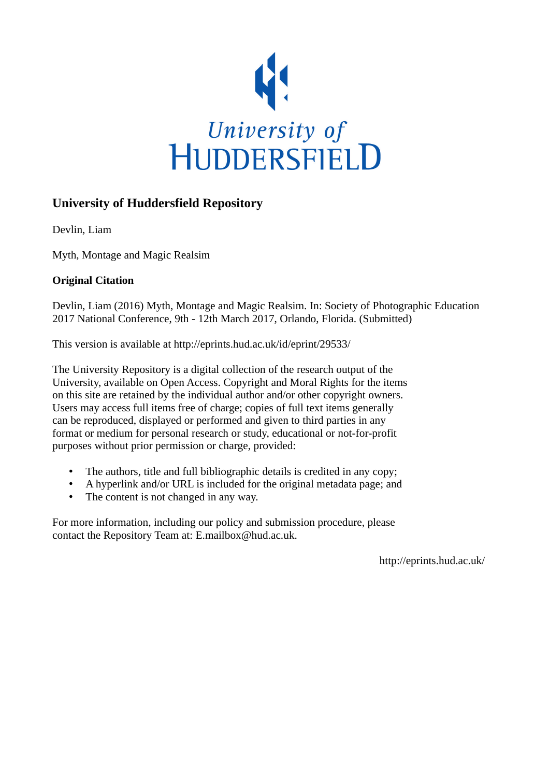

## **University of Huddersfield Repository**

Devlin, Liam

Myth, Montage and Magic Realsim

## **Original Citation**

Devlin, Liam (2016) Myth, Montage and Magic Realsim. In: Society of Photographic Education 2017 National Conference, 9th - 12th March 2017, Orlando, Florida. (Submitted)

This version is available at http://eprints.hud.ac.uk/id/eprint/29533/

The University Repository is a digital collection of the research output of the University, available on Open Access. Copyright and Moral Rights for the items on this site are retained by the individual author and/or other copyright owners. Users may access full items free of charge; copies of full text items generally can be reproduced, displayed or performed and given to third parties in any format or medium for personal research or study, educational or not-for-profit purposes without prior permission or charge, provided:

- The authors, title and full bibliographic details is credited in any copy;
- A hyperlink and/or URL is included for the original metadata page; and
- The content is not changed in any way.

For more information, including our policy and submission procedure, please contact the Repository Team at: E.mailbox@hud.ac.uk.

http://eprints.hud.ac.uk/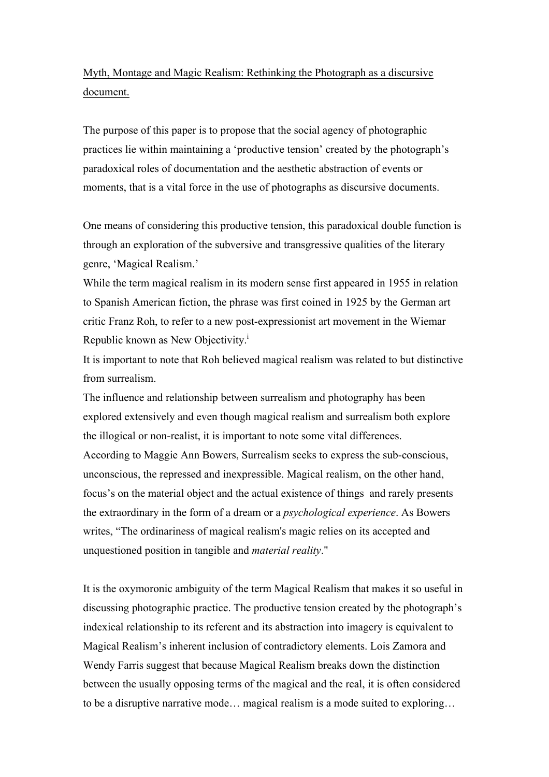## Myth, Montage and Magic Realism: Rethinking the Photograph as a discursive document.

The purpose of this paper is to propose that the social agency of photographic practices lie within maintaining a 'productive tension' created by the photograph's paradoxical roles of documentation and the aesthetic abstraction of events or moments, that is a vital force in the use of photographs as discursive documents.

One means of considering this productive tension, this paradoxical double function is through an exploration of the subversive and transgressive qualities of the literary genre, 'Magical Realism.'

While the term magical realism in its modern sense first appeared in 1955 in relation to Spanish American fiction, the phrase was first coined in 1925 by the German art critic Franz Roh, to refer to a new post-expressionist art movement in the Wiemar Republic known as New Objectivity.<sup>1</sup>

It is important to note that Roh believed magical realism was related to but distinctive from surrealism.

The influence and relationship between surrealism and photography has been explored extensively and even though magical realism and surrealism both explore the illogical or non-realist, it is important to note some vital differences. According to Maggie Ann Bowers, Surrealism seeks to express the sub-conscious, unconscious, the repressed and inexpressible. Magical realism, on the other hand, focus's on the material object and the actual existence of things and rarely presents the extraordinary in the form of a dream or a *psychological experience*. As Bowers writes, "The ordinariness of magical realism's magic relies on its accepted and unquestioned position in tangible and *material reality*."

It is the oxymoronic ambiguity of the term Magical Realism that makes it so useful in discussing photographic practice. The productive tension created by the photograph's indexical relationship to its referent and its abstraction into imagery is equivalent to Magical Realism's inherent inclusion of contradictory elements. Lois Zamora and Wendy Farris suggest that because Magical Realism breaks down the distinction between the usually opposing terms of the magical and the real, it is often considered to be a disruptive narrative mode… magical realism is a mode suited to exploring…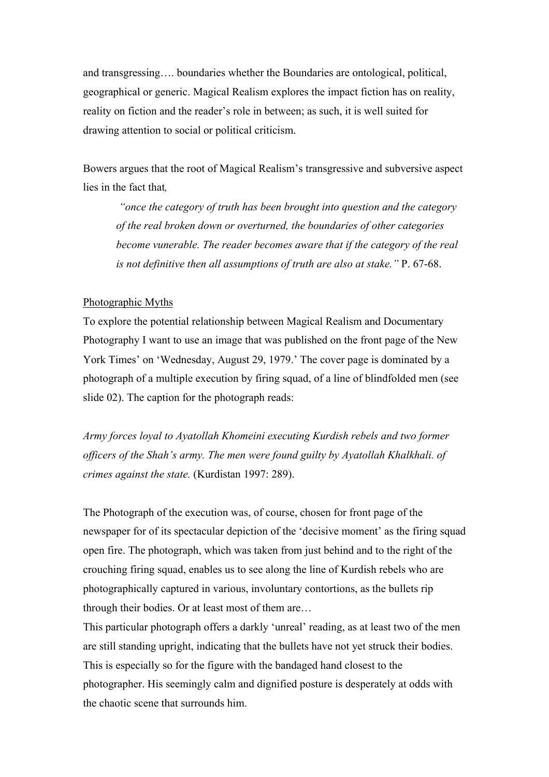and transgressing…. boundaries whether the Boundaries are ontological, political, geographical or generic. Magical Realism explores the impact fiction has on reality, reality on fiction and the reader's role in between; as such, it is well suited for drawing attention to social or political criticism.

Bowers argues that the root of Magical Realism's transgressive and subversive aspect lies in the fact that*,*

*"once the category of truth has been brought into question and the category of the real broken down or overturned, the boundaries of other categories become vunerable. The reader becomes aware that if the category of the real is not definitive then all assumptions of truth are also at stake."* P. 67-68.

## Photographic Myths

To explore the potential relationship between Magical Realism and Documentary Photography I want to use an image that was published on the front page of the New York Times' on 'Wednesday, August 29, 1979.' The cover page is dominated by a photograph of a multiple execution by firing squad, of a line of blindfolded men (see slide 02). The caption for the photograph reads:

*Army forces loyal to Ayatollah Khomeini executing Kurdish rebels and two former officers of the Shah's army. The men were found guilty by Ayatollah Khalkhali. of crimes against the state.* (Kurdistan 1997: 289).

The Photograph of the execution was, of course, chosen for front page of the newspaper for of its spectacular depiction of the 'decisive moment' as the firing squad open fire. The photograph, which was taken from just behind and to the right of the crouching firing squad, enables us to see along the line of Kurdish rebels who are photographically captured in various, involuntary contortions, as the bullets rip through their bodies. Or at least most of them are…

This particular photograph offers a darkly 'unreal' reading, as at least two of the men are still standing upright, indicating that the bullets have not yet struck their bodies. This is especially so for the figure with the bandaged hand closest to the photographer. His seemingly calm and dignified posture is desperately at odds with the chaotic scene that surrounds him.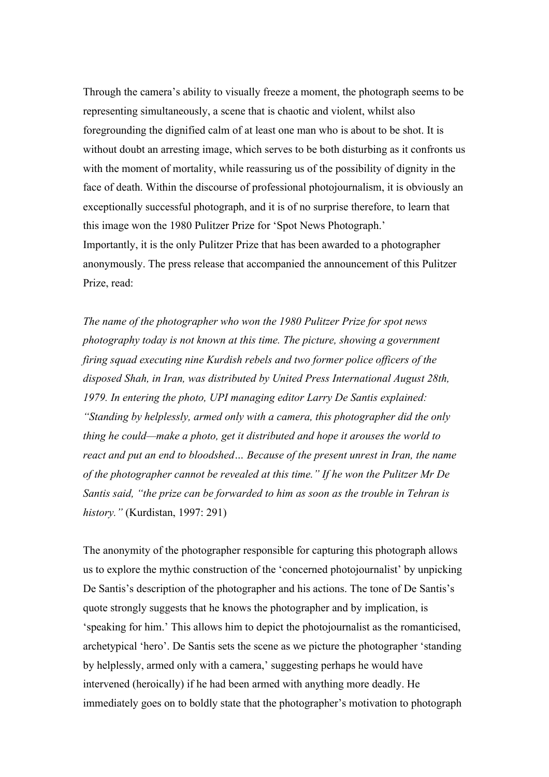Through the camera's ability to visually freeze a moment, the photograph seems to be representing simultaneously, a scene that is chaotic and violent, whilst also foregrounding the dignified calm of at least one man who is about to be shot. It is without doubt an arresting image, which serves to be both disturbing as it confronts us with the moment of mortality, while reassuring us of the possibility of dignity in the face of death. Within the discourse of professional photojournalism, it is obviously an exceptionally successful photograph, and it is of no surprise therefore, to learn that this image won the 1980 Pulitzer Prize for 'Spot News Photograph.' Importantly, it is the only Pulitzer Prize that has been awarded to a photographer anonymously. The press release that accompanied the announcement of this Pulitzer Prize, read:

*The name of the photographer who won the 1980 Pulitzer Prize for spot news photography today is not known at this time. The picture, showing a government firing squad executing nine Kurdish rebels and two former police officers of the disposed Shah, in Iran, was distributed by United Press International August 28th, 1979. In entering the photo, UPI managing editor Larry De Santis explained: "Standing by helplessly, armed only with a camera, this photographer did the only thing he could—make a photo, get it distributed and hope it arouses the world to react and put an end to bloodshed… Because of the present unrest in Iran, the name of the photographer cannot be revealed at this time." If he won the Pulitzer Mr De Santis said, "the prize can be forwarded to him as soon as the trouble in Tehran is history."* (Kurdistan, 1997: 291)

The anonymity of the photographer responsible for capturing this photograph allows us to explore the mythic construction of the 'concerned photojournalist' by unpicking De Santis's description of the photographer and his actions. The tone of De Santis's quote strongly suggests that he knows the photographer and by implication, is 'speaking for him.' This allows him to depict the photojournalist as the romanticised, archetypical 'hero'. De Santis sets the scene as we picture the photographer 'standing by helplessly, armed only with a camera,' suggesting perhaps he would have intervened (heroically) if he had been armed with anything more deadly. He immediately goes on to boldly state that the photographer's motivation to photograph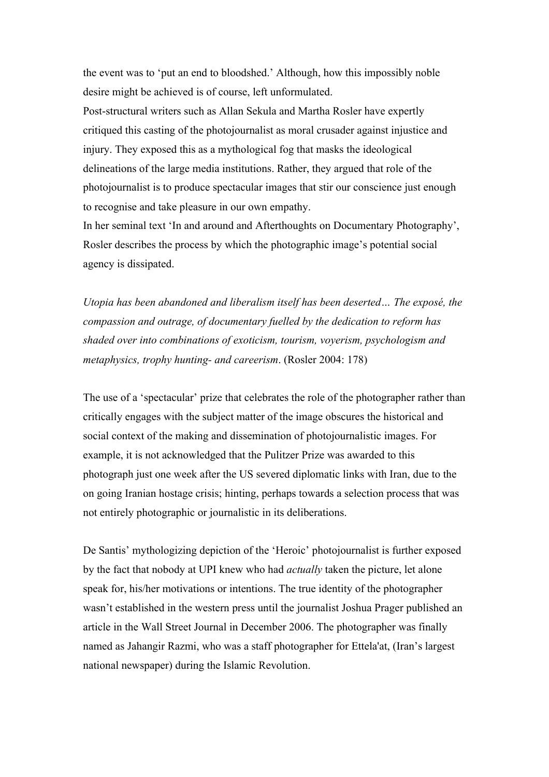the event was to 'put an end to bloodshed.' Although, how this impossibly noble desire might be achieved is of course, left unformulated.

Post-structural writers such as Allan Sekula and Martha Rosler have expertly critiqued this casting of the photojournalist as moral crusader against injustice and injury. They exposed this as a mythological fog that masks the ideological delineations of the large media institutions. Rather, they argued that role of the photojournalist is to produce spectacular images that stir our conscience just enough to recognise and take pleasure in our own empathy.

In her seminal text 'In and around and Afterthoughts on Documentary Photography', Rosler describes the process by which the photographic image's potential social agency is dissipated.

*Utopia has been abandoned and liberalism itself has been deserted… The exposé, the compassion and outrage, of documentary fuelled by the dedication to reform has shaded over into combinations of exoticism, tourism, voyerism, psychologism and metaphysics, trophy hunting- and careerism*. (Rosler 2004: 178)

The use of a 'spectacular' prize that celebrates the role of the photographer rather than critically engages with the subject matter of the image obscures the historical and social context of the making and dissemination of photojournalistic images. For example, it is not acknowledged that the Pulitzer Prize was awarded to this photograph just one week after the US severed diplomatic links with Iran, due to the on going Iranian hostage crisis; hinting, perhaps towards a selection process that was not entirely photographic or journalistic in its deliberations.

De Santis' mythologizing depiction of the 'Heroic' photojournalist is further exposed by the fact that nobody at UPI knew who had *actually* taken the picture, let alone speak for, his/her motivations or intentions. The true identity of the photographer wasn't established in the western press until the journalist Joshua Prager published an article in the Wall Street Journal in December 2006. The photographer was finally named as Jahangir Razmi, who was a staff photographer for Ettela'at, (Iran's largest national newspaper) during the Islamic Revolution.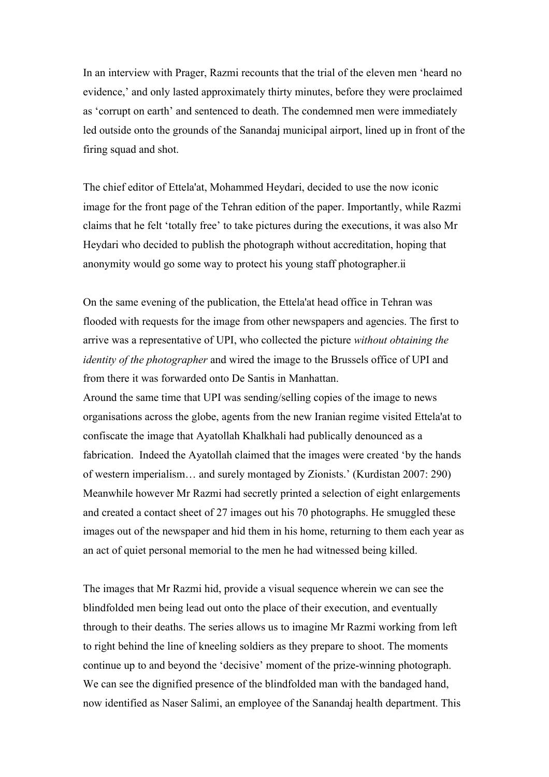In an interview with Prager, Razmi recounts that the trial of the eleven men 'heard no evidence,' and only lasted approximately thirty minutes, before they were proclaimed as 'corrupt on earth' and sentenced to death. The condemned men were immediately led outside onto the grounds of the Sanandaj municipal airport, lined up in front of the firing squad and shot.

The chief editor of Ettela'at, Mohammed Heydari, decided to use the now iconic image for the front page of the Tehran edition of the paper. Importantly, while Razmi claims that he felt 'totally free' to take pictures during the executions, it was also Mr Heydari who decided to publish the photograph without accreditation, hoping that anonymity would go some way to protect his young staff photographer.ii

On the same evening of the publication, the Ettela'at head office in Tehran was flooded with requests for the image from other newspapers and agencies. The first to arrive was a representative of UPI, who collected the picture *without obtaining the identity of the photographer* and wired the image to the Brussels office of UPI and from there it was forwarded onto De Santis in Manhattan.

Around the same time that UPI was sending/selling copies of the image to news organisations across the globe, agents from the new Iranian regime visited Ettela'at to confiscate the image that Ayatollah Khalkhali had publically denounced as a fabrication. Indeed the Ayatollah claimed that the images were created 'by the hands of western imperialism… and surely montaged by Zionists.' (Kurdistan 2007: 290) Meanwhile however Mr Razmi had secretly printed a selection of eight enlargements and created a contact sheet of 27 images out his 70 photographs. He smuggled these images out of the newspaper and hid them in his home, returning to them each year as an act of quiet personal memorial to the men he had witnessed being killed.

The images that Mr Razmi hid, provide a visual sequence wherein we can see the blindfolded men being lead out onto the place of their execution, and eventually through to their deaths. The series allows us to imagine Mr Razmi working from left to right behind the line of kneeling soldiers as they prepare to shoot. The moments continue up to and beyond the 'decisive' moment of the prize-winning photograph. We can see the dignified presence of the blindfolded man with the bandaged hand, now identified as Naser Salimi, an employee of the Sanandaj health department. This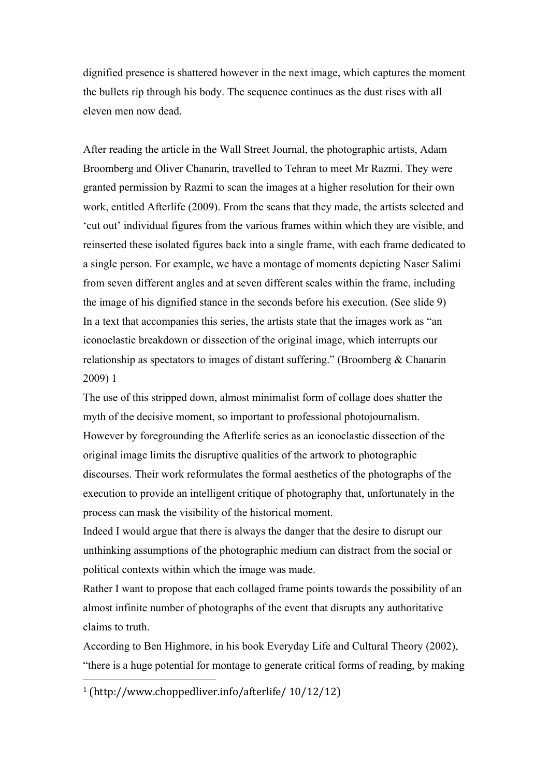dignified presence is shattered however in the next image, which captures the moment the bullets rip through his body. The sequence continues as the dust rises with all eleven men now dead.

After reading the article in the Wall Street Journal, the photographic artists, Adam Broomberg and Oliver Chanarin, travelled to Tehran to meet Mr Razmi. They were granted permission by Razmi to scan the images at a higher resolution for their own work, entitled Afterlife (2009). From the scans that they made, the artists selected and 'cut out' individual figures from the various frames within which they are visible, and reinserted these isolated figures back into a single frame, with each frame dedicated to a single person. For example, we have a montage of moments depicting Naser Salimi from seven different angles and at seven different scales within the frame, including the image of his dignified stance in the seconds before his execution. (See slide 9) In a text that accompanies this series, the artists state that the images work as "an iconoclastic breakdown or dissection of the original image, which interrupts our relationship as spectators to images of distant suffering." (Broomberg & Chanarin 2009) 1

The use of this stripped down, almost minimalist form of collage does shatter the myth of the decisive moment, so important to professional photojournalism. However by foregrounding the Afterlife series as an iconoclastic dissection of the original image limits the disruptive qualities of the artwork to photographic discourses. Their work reformulates the formal aesthetics of the photographs of the execution to provide an intelligent critique of photography that, unfortunately in the process can mask the visibility of the historical moment.

Indeed I would argue that there is always the danger that the desire to disrupt our unthinking assumptions of the photographic medium can distract from the social or political contexts within which the image was made.

Rather I want to propose that each collaged frame points towards the possibility of an almost infinite number of photographs of the event that disrupts any authoritative claims to truth.

According to Ben Highmore, in his book Everyday Life and Cultural Theory (2002), "there is a huge potential for montage to generate critical forms of reading, by making

 

 $1$  (http://www.choppedliver.info/afterlife/ $10/12/12$ )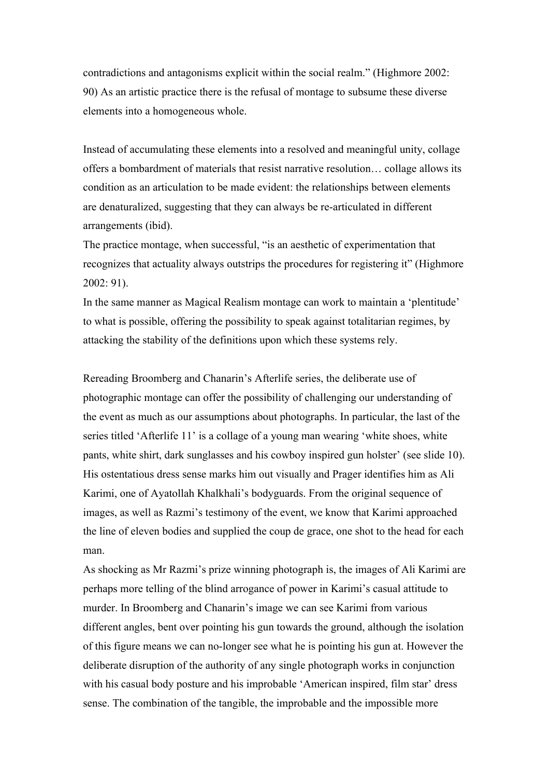contradictions and antagonisms explicit within the social realm." (Highmore 2002: 90) As an artistic practice there is the refusal of montage to subsume these diverse elements into a homogeneous whole.

Instead of accumulating these elements into a resolved and meaningful unity, collage offers a bombardment of materials that resist narrative resolution… collage allows its condition as an articulation to be made evident: the relationships between elements are denaturalized, suggesting that they can always be re-articulated in different arrangements (ibid).

The practice montage, when successful, "is an aesthetic of experimentation that recognizes that actuality always outstrips the procedures for registering it" (Highmore 2002: 91).

In the same manner as Magical Realism montage can work to maintain a 'plentitude' to what is possible, offering the possibility to speak against totalitarian regimes, by attacking the stability of the definitions upon which these systems rely.

Rereading Broomberg and Chanarin's Afterlife series, the deliberate use of photographic montage can offer the possibility of challenging our understanding of the event as much as our assumptions about photographs. In particular, the last of the series titled 'Afterlife 11' is a collage of a young man wearing 'white shoes, white pants, white shirt, dark sunglasses and his cowboy inspired gun holster' (see slide 10). His ostentatious dress sense marks him out visually and Prager identifies him as Ali Karimi, one of Ayatollah Khalkhali's bodyguards. From the original sequence of images, as well as Razmi's testimony of the event, we know that Karimi approached the line of eleven bodies and supplied the coup de grace, one shot to the head for each man.

As shocking as Mr Razmi's prize winning photograph is, the images of Ali Karimi are perhaps more telling of the blind arrogance of power in Karimi's casual attitude to murder. In Broomberg and Chanarin's image we can see Karimi from various different angles, bent over pointing his gun towards the ground, although the isolation of this figure means we can no-longer see what he is pointing his gun at. However the deliberate disruption of the authority of any single photograph works in conjunction with his casual body posture and his improbable 'American inspired, film star' dress sense. The combination of the tangible, the improbable and the impossible more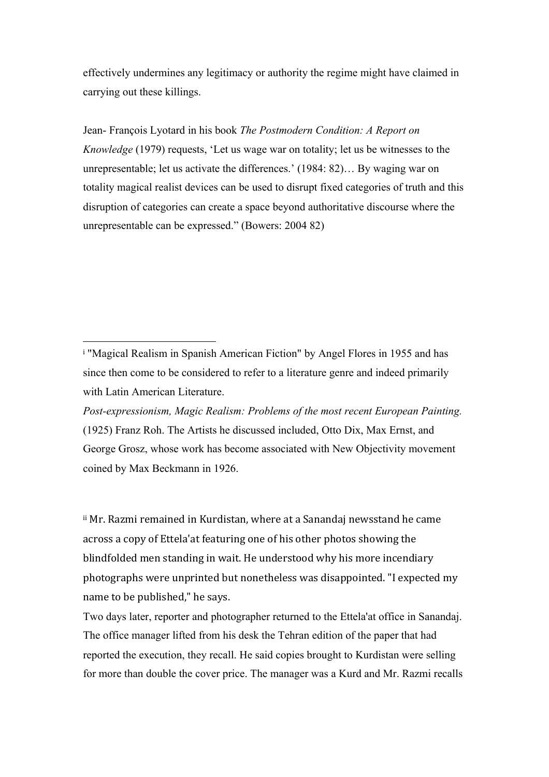effectively undermines any legitimacy or authority the regime might have claimed in carrying out these killings.

Jean- François Lyotard in his book *The Postmodern Condition: A Report on Knowledge* (1979) requests, 'Let us wage war on totality; let us be witnesses to the unrepresentable; let us activate the differences.' (1984: 82)… By waging war on totality magical realist devices can be used to disrupt fixed categories of truth and this disruption of categories can create a space beyond authoritative discourse where the unrepresentable can be expressed." (Bowers: 2004 82)

 

*Post-expressionism, Magic Realism: Problems of the most recent European Painting.* (1925) Franz Roh. The Artists he discussed included, Otto Dix, Max Ernst, and George Grosz, whose work has become associated with New Objectivity movement coined by Max Beckmann in 1926.

<sup>ii</sup> Mr. Razmi remained in Kurdistan, where at a Sanandaj newsstand he came across a copy of Ettela'at featuring one of his other photos showing the blindfolded men standing in wait. He understood why his more incendiary photographs were unprinted but nonetheless was disappointed. "I expected my name to be published," he says.

Two days later, reporter and photographer returned to the Ettela'at office in Sanandaj. The office manager lifted from his desk the Tehran edition of the paper that had reported the execution, they recall. He said copies brought to Kurdistan were selling for more than double the cover price. The manager was a Kurd and Mr. Razmi recalls

<sup>&</sup>lt;sup>i</sup> "Magical Realism in Spanish American Fiction" by Angel Flores in 1955 and has since then come to be considered to refer to a literature genre and indeed primarily with Latin American Literature.